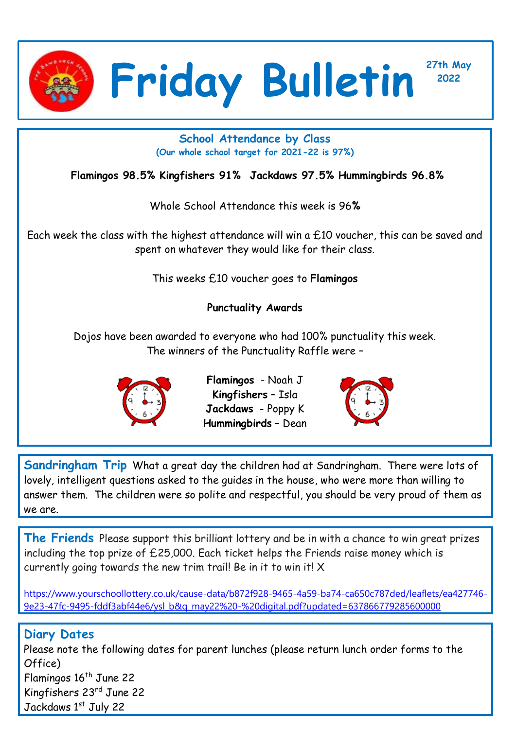

**<sup>2022</sup> Friday Bulletin**

**School Attendance by Class (Our whole school target for 2021-22 is 97%)**

**Flamingos 98.5% Kingfishers 91% Jackdaws 97.5% Hummingbirds 96.8%**

Whole School Attendance this week is 96**%**

Each week the class with the highest attendance will win a £10 voucher, this can be saved and spent on whatever they would like for their class.

This weeks £10 voucher goes to **Flamingos**

## **Punctuality Awards**

Dojos have been awarded to everyone who had 100% punctuality this week. The winners of the Punctuality Raffle were –



**Flamingos** - Noah J **Kingfishers** – Isla **Jackdaws** - Poppy K **Hummingbirds** – Dean



**27th May**

**Sandringham Trip** What a great day the children had at Sandringham. There were lots of lovely, intelligent questions asked to the guides in the house, who were more than willing to answer them. The children were so polite and respectful, you should be very proud of them as we are.

**The Friends** Please support this brilliant lottery and be in with a chance to win great prizes including the top prize of £25,000. Each ticket helps the Friends raise money which is currently going towards the new trim trail! Be in it to win it! X

[https://www.yourschoollottery.co.uk/cause-data/b872f928-9465-4a59-ba74-ca650c787ded/leaflets/ea427746-](https://www.yourschoollottery.co.uk/cause-data/b872f928-9465-4a59-ba74-ca650c787ded/leaflets/ea427746-9e23-47fc-9495-fddf3abf44e6/ysl_b&q_may22%20-%20digital.pdf?updated=637866779285600000) [9e23-47fc-9495-fddf3abf44e6/ysl\\_b&q\\_may22%20-%20digital.pdf?updated=637866779285600000](https://www.yourschoollottery.co.uk/cause-data/b872f928-9465-4a59-ba74-ca650c787ded/leaflets/ea427746-9e23-47fc-9495-fddf3abf44e6/ysl_b&q_may22%20-%20digital.pdf?updated=637866779285600000)

## **Diary Dates**

Please note the following dates for parent lunches (please return lunch order forms to the Office) Flamingos 16<sup>th</sup> June 22 Kingfishers 23rd June 22 Jackdaws 1st July 22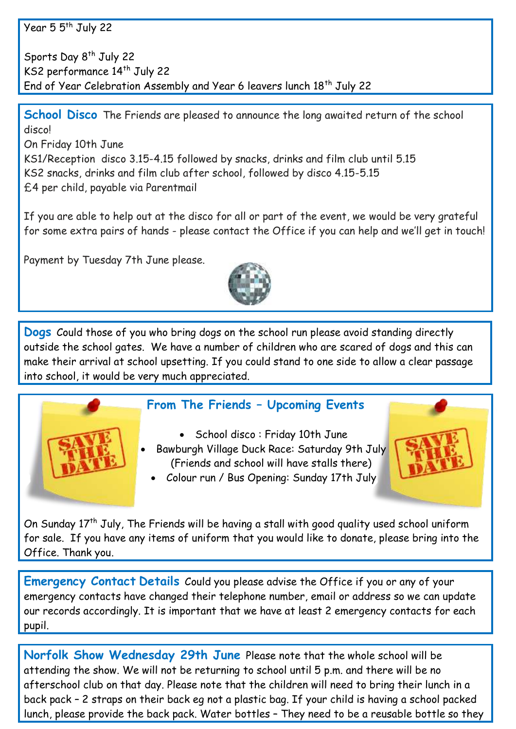Year 5 5<sup>th</sup> July 22

Sports Day 8<sup>th</sup> July 22 KS2 performance 14<sup>th</sup> July 22 End of Year Celebration Assembly and Year 6 leavers lunch 18<sup>th</sup> July 22

**School Disco** The Friends are pleased to announce the long awaited return of the school disco!

On Friday 10th June KS1/Reception disco 3.15-4.15 followed by snacks, drinks and film club until 5.15 KS2 snacks, drinks and film club after school, followed by disco 4.15-5.15 £4 per child, payable via Parentmail

If you are able to help out at the disco for all or part of the event, we would be very grateful for some extra pairs of hands - please contact the Office if you can help and we'll get in touch!

Payment by Tuesday 7th June please.



**Dogs** Could those of you who bring dogs on the school run please avoid standing directly outside the school gates. We have a number of children who are scared of dogs and this can make their arrival at school upsetting. If you could stand to one side to allow a clear passage into school, it would be very much appreciated.



## **From The Friends – Upcoming Events**

 School disco : Friday 10th June Bawburgh Village Duck Race: Saturday 9th July (Friends and school will have stalls there)



Colour run / Bus Opening: Sunday 17th July

On Sunday  $17<sup>th</sup>$  July, The Friends will be having a stall with good quality used school uniform for sale. If you have any items of uniform that you would like to donate, please bring into the Office. Thank you.

**Emergency Contact Details** Could you please advise the Office if you or any of your emergency contacts have changed their telephone number, email or address so we can update our records accordingly. It is important that we have at least 2 emergency contacts for each pupil.

**Norfolk Show Wednesday 29th June** Please note that the whole school will be attending the show. We will not be returning to school until 5 p.m. and there will be no afterschool club on that day. Please note that the children will need to bring their lunch in a back pack – 2 straps on their back eg not a plastic bag. If your child is having a school packed lunch, please provide the back pack. Water bottles – They need to be a reusable bottle so they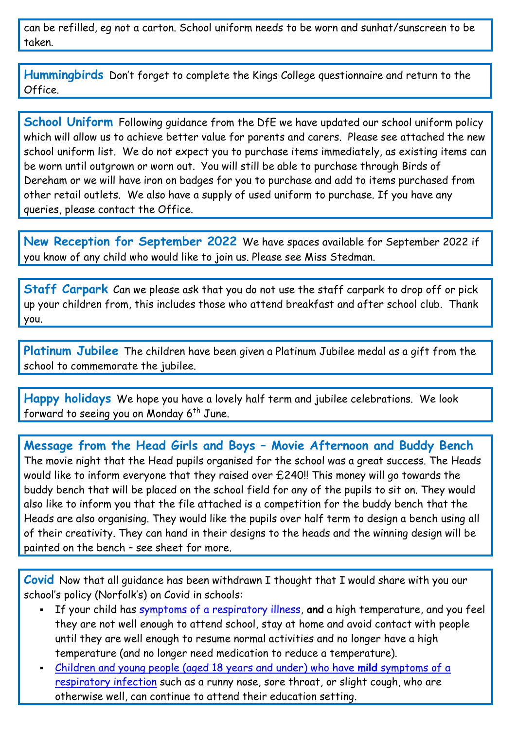can be refilled, eg not a carton. School uniform needs to be worn and sunhat/sunscreen to be taken.

**Hummingbirds** Don't forget to complete the Kings College questionnaire and return to the Office.

**School Uniform** Following guidance from the DfE we have updated our school uniform policy which will allow us to achieve better value for parents and carers. Please see attached the new school uniform list. We do not expect you to purchase items immediately, as existing items can be worn until outgrown or worn out. You will still be able to purchase through Birds of Dereham or we will have iron on badges for you to purchase and add to items purchased from other retail outlets. We also have a supply of used uniform to purchase. If you have any queries, please contact the Office.

**New Reception for September 2022** We have spaces available for September 2022 if you know of any child who would like to join us. Please see Miss Stedman.

**Staff Carpark** Can we please ask that you do not use the staff carpark to drop off or pick up your children from, this includes those who attend breakfast and after school club. Thank you.

**Platinum Jubilee** The children have been given a Platinum Jubilee medal as a gift from the school to commemorate the jubilee.

**Happy holidays** We hope you have a lovely half term and jubilee celebrations. We look forward to seeing you on Monday  $6<sup>th</sup>$  June.

**Message from the Head Girls and Boys – Movie Afternoon and Buddy Bench** The movie night that the Head pupils organised for the school was a great success. The Heads would like to inform everyone that they raised over £240!! This money will go towards the buddy bench that will be placed on the school field for any of the pupils to sit on. They would also like to inform you that the file attached is a competition for the buddy bench that the Heads are also organising. They would like the pupils over half term to design a bench using all of their creativity. They can hand in their designs to the heads and the winning design will be painted on the bench – see sheet for more.

**Covid** Now that all guidance has been withdrawn I thought that I would share with you our school's policy (Norfolk's) on Covid in schools:

- If your child has [symptoms of a respiratory illness,](https://www.gov.uk/guidance/people-with-symptoms-of-a-respiratory-infection-including-covid-19#symptoms-of-respiratory-infections-including-covid-19) **and** a high temperature, and you feel they are not well enough to attend school, stay at home and avoid contact with people until they are well enough to resume normal activities and no longer have a high temperature (and no longer need medication to reduce a temperature).
- [Children and young people \(aged 18 years and under\) who have](https://www.gov.uk/guidance/people-with-symptoms-of-a-respiratory-infection-including-covid-19#children-and-young-people-aged-18-years-and-under-who-have-symptoms-of-a-respiratory-infection-including-covid-19) **mild** symptoms of a [respiratory infection](https://www.gov.uk/guidance/people-with-symptoms-of-a-respiratory-infection-including-covid-19#children-and-young-people-aged-18-years-and-under-who-have-symptoms-of-a-respiratory-infection-including-covid-19) such as a runny nose, sore throat, or slight cough, who are otherwise well, can continue to attend their education setting.